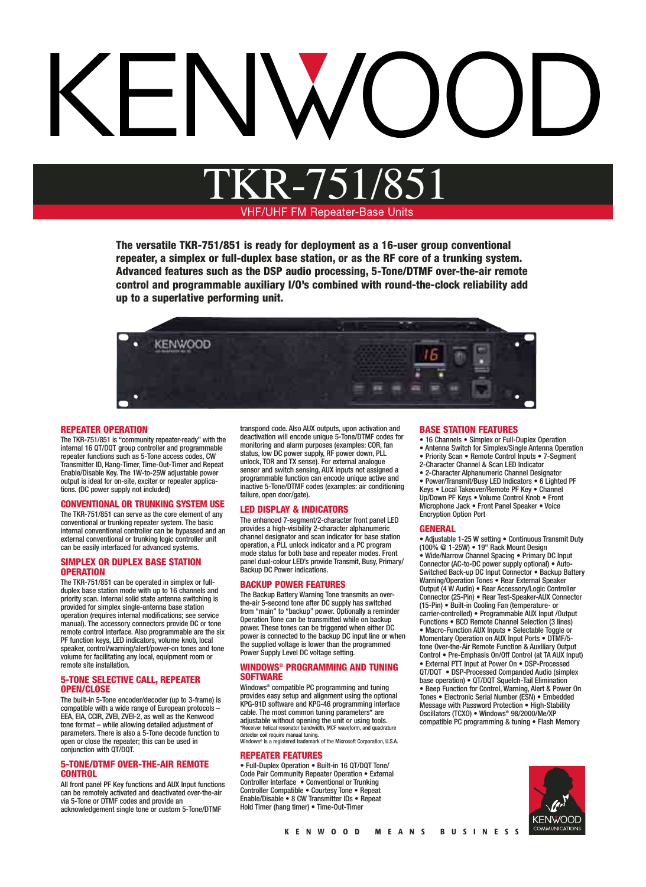# VHF/UHF FM Repeater-Base Units TKR-751/851

**The versatile TKR-751/851 is ready for deployment as a 16-user group conventional repeater, a simplex or full-duplex base station, or as the RF core of a trunking system. Advanced features such as the DSP audio processing, 5-Tone/DTMF over-the-air remote control and programmable auxiliary I/O's combined with round-the-clock reliability add up to a superlative performing unit.**



#### **REPEATER OPERATION**

The TKR-751/851 is "community repeater-ready" with the internal 16 QT/DQT group controller and programmable repeater functions such as 5-Tone access codes, CW Transmitter ID, Hang-Timer, Time-Out-Timer and Repeat Enable/Disable Key. The 1W-to-25W adjustable power output is ideal for on-site, exciter or repeater applications. (DC power supply not included)

#### **CONVENTIONAL OR TRUNKING SYSTEM USE**

The TKR-751/851 can serve as the core element of any conventional or trunking repeater system. The basic internal conventional controller can be bypassed and an external conventional or trunking logic controller unit can be easily interfaced for advanced systems.

#### **SIMPLEX OR DUPLEX BASE STATION OPERATION**

The TKR-751/851 can be operated in simplex or fullduplex base station mode with up to 16 channels and priority scan. Internal solid state antenna switching is provided for simplex single-antenna base station operation (requires internal modifications; see service manual). The accessory connectors provide DC or tone remote control interface. Also programmable are the six PF function keys, LED indicators, volume knob, local speaker, control/warning/alert/power-on tones and tone volume for facilitating any local, equipment room or remote site installation.

#### **5-TONE SELECTIVE CALL, REPEATER OPEN/CLOSE**

The built-in 5-Tone encoder/decoder (up to 3-frame) is compatible with a wide range of European protocols – EEA, EIA, CCIR, ZVEI, ZVEI-2, as well as the Kenwood tone format – while allowing detailed adjustment of parameters. There is also a 5-Tone decode function to open or close the repeater; this can be used in conjunction with QT/DQT.

#### **5-TONE/DTMF OVER-THE-AIR REMOTE CONTROL**

All front panel PF Key functions and AUX Input functions can be remotely activated and deactivated over-the-air via 5-Tone or DTMF codes and provide an acknowledgement single tone or custom 5-Tone/DTMF

transpond code. Also AUX outputs, upon activation and deactivation will encode unique 5-Tone/DTMF codes for monitoring and alarm purposes (examples: COR, fan status, low DC power supply, RF power down, PLL unlock, TOR and TX sense). For external analogue sensor and switch sensing, AUX inputs not assigned a programmable function can encode unique active and inactive 5-Tone/DTMF codes (examples: air conditioning failure, open door/gate).

#### **LED DISPLAY & INDICATORS**

The enhanced 7-segment/2-character front panel LED provides a high-visibility 2-character alphanumeric channel designator and scan indicator for base station operation, a PLL unlock indicator and a PC program mode status for both base and repeater modes. Front panel dual-colour LED's provide Transmit, Busy, Primary/ Backup DC Power indications.

#### **BACKUP POWER FEATURES**

The Backup Battery Warning Tone transmits an overthe-air 5-second tone after DC supply has switched from "main" to "backup" power. Optionally a reminder Operation Tone can be transmitted while on backup power. These tones can be triggered when either DC power is connected to the backup DC input line or when the supplied voltage is lower than the programmed Power Supply Level DC voltage setting.

#### **WINDOWS® PROGRAMMING AND TUNING SOFTWARE**

Windows® compatible PC programming and tuning provides easy setup and alignment using the optional KPG-91D software and KPG-46 programming interface cable. The most common tuning parameters\* are adjustable without opening the unit or using tools. \*Receiver helical resonator bandwidth, MCF waveform, and quadrature detector coil require manual tuning. Windows® is a registered trademark of the Microsoft Corporation, U.S.A.

### **REPEATER FEATURES**

• Full-Duplex Operation • Built-in 16 QT/DQT Tone/ Code Pair Community Repeater Operation • External Controller Interface • Conventional or Trunking Controller Compatible • Courtesy Tone • Repeat Enable/Disable • 8 CW Transmitter IDs • Repeat Hold Timer (hang timer) • Time-Out-Timer

#### **BASE STATION FEATURES**

• 16 Channels • Simplex or Full-Duplex Operation

• Antenna Switch for Simplex/Single Antenna Operation

• Priority Scan • Remote Control Inputs • 7-Segment

2-Character Channel & Scan LED Indicator

• 2-Character Alphanumeric Channel Designator • Power/Transmit/Busy LED Indicators • 6 Lighted PF Keys • Local Takeover/Remote PF Key • Channel Up/Down PF Keys • Volume Control Knob • Front Microphone Jack • Front Panel Speaker • Voice Encryption Option Port

#### **GENERAL**

• Adjustable 1-25 W setting • Continuous Transmit Duty (100% @ 1-25W) • 19" Rack Mount Design • Wide/Narrow Channel Spacing • Primary DC Input Connector (AC-to-DC power supply optional) • Auto-Switched Back-up DC Input Connector • Backup Battery Warning/Operation Tones • Rear External Speaker Output (4 W Audio) • Rear Accessory/Logic Controller Connector (25-Pin) • Rear Test-Speaker-AUX Connector (15-Pin) • Built-in Cooling Fan (temperature- or carrier-controlled) • Programmable AUX Input /Output Functions • BCD Remote Channel Selection (3 lines) • Macro-Function AUX Inputs • Selectable Toggle or Momentary Operation on AUX Input Ports • DTMF/5 tone Over-the-Air Remote Function & Auxiliary Output Control • Pre-Emphasis On/Off Control (at TA AUX Input) • External PTT Input at Power On • DSP-Processed QT/DQT • DSP-Processed Companded Audio (simplex base operation) • QT/DQT Squelch-Tail Elimination • Beep Function for Control, Warning, Alert & Power On Tones • Electronic Serial Number (ESN) • Embedded Message with Password Protection • High-Stability Oscillators (TCXO) • Windows® 98/2000/Me/XP compatible PC programming & tuning • Flash Memory